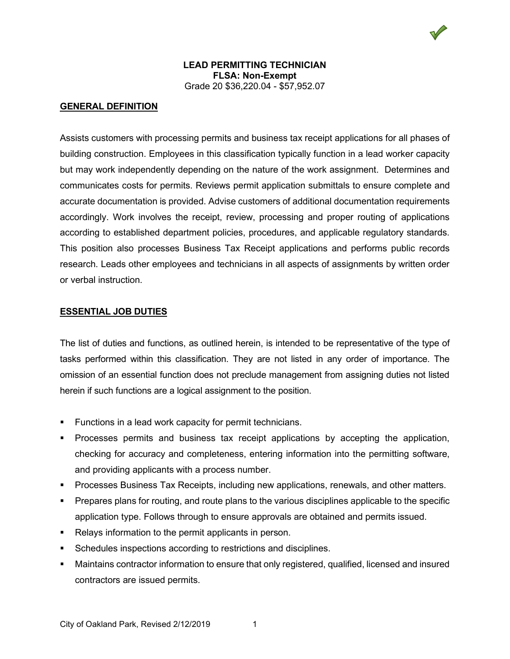

## **GENERAL DEFINITION**

Assists customers with processing permits and business tax receipt applications for all phases of building construction. Employees in this classification typically function in a lead worker capacity but may work independently depending on the nature of the work assignment. Determines and communicates costs for permits. Reviews permit application submittals to ensure complete and accurate documentation is provided. Advise customers of additional documentation requirements accordingly. Work involves the receipt, review, processing and proper routing of applications according to established department policies, procedures, and applicable regulatory standards. This position also processes Business Tax Receipt applications and performs public records research. Leads other employees and technicians in all aspects of assignments by written order or verbal instruction.

### **ESSENTIAL JOB DUTIES**

The list of duties and functions, as outlined herein, is intended to be representative of the type of tasks performed within this classification. They are not listed in any order of importance. The omission of an essential function does not preclude management from assigning duties not listed herein if such functions are a logical assignment to the position.

- **Functions in a lead work capacity for permit technicians.**
- Processes permits and business tax receipt applications by accepting the application, checking for accuracy and completeness, entering information into the permitting software, and providing applicants with a process number.
- Processes Business Tax Receipts, including new applications, renewals, and other matters.
- Prepares plans for routing, and route plans to the various disciplines applicable to the specific application type. Follows through to ensure approvals are obtained and permits issued.
- Relays information to the permit applicants in person.
- Schedules inspections according to restrictions and disciplines.
- Maintains contractor information to ensure that only registered, qualified, licensed and insured contractors are issued permits.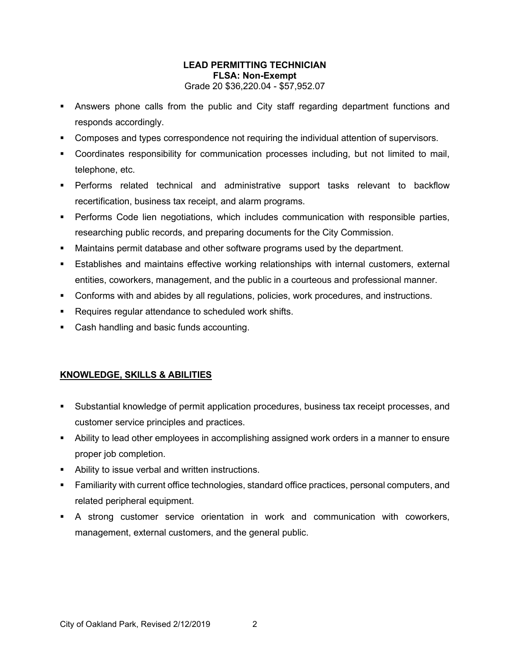- Answers phone calls from the public and City staff regarding department functions and responds accordingly.
- Composes and types correspondence not requiring the individual attention of supervisors.
- Coordinates responsibility for communication processes including, but not limited to mail, telephone, etc.
- Performs related technical and administrative support tasks relevant to backflow recertification, business tax receipt, and alarm programs.
- Performs Code lien negotiations, which includes communication with responsible parties, researching public records, and preparing documents for the City Commission.
- Maintains permit database and other software programs used by the department.
- Establishes and maintains effective working relationships with internal customers, external entities, coworkers, management, and the public in a courteous and professional manner.
- Conforms with and abides by all regulations, policies, work procedures, and instructions.
- **Requires regular attendance to scheduled work shifts.**
- Cash handling and basic funds accounting.

# **KNOWLEDGE, SKILLS & ABILITIES**

- Substantial knowledge of permit application procedures, business tax receipt processes, and customer service principles and practices.
- Ability to lead other employees in accomplishing assigned work orders in a manner to ensure proper job completion.
- Ability to issue verbal and written instructions.
- Familiarity with current office technologies, standard office practices, personal computers, and related peripheral equipment.
- A strong customer service orientation in work and communication with coworkers, management, external customers, and the general public.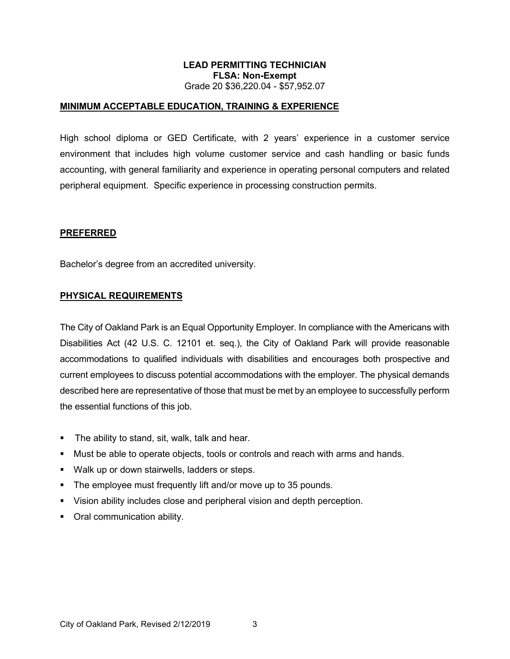#### **MINIMUM ACCEPTABLE EDUCATION, TRAINING & EXPERIENCE**

High school diploma or GED Certificate, with 2 years' experience in a customer service environment that includes high volume customer service and cash handling or basic funds accounting, with general familiarity and experience in operating personal computers and related peripheral equipment. Specific experience in processing construction permits.

#### **PREFERRED**

Bachelor's degree from an accredited university.

#### **PHYSICAL REQUIREMENTS**

The City of Oakland Park is an Equal Opportunity Employer. In compliance with the Americans with Disabilities Act (42 U.S. C. 12101 et. seq.), the City of Oakland Park will provide reasonable accommodations to qualified individuals with disabilities and encourages both prospective and current employees to discuss potential accommodations with the employer. The physical demands described here are representative of those that must be met by an employee to successfully perform the essential functions of this job.

- **The ability to stand, sit, walk, talk and hear.**
- Must be able to operate objects, tools or controls and reach with arms and hands.
- Walk up or down stairwells, ladders or steps.
- The employee must frequently lift and/or move up to 35 pounds.
- Vision ability includes close and peripheral vision and depth perception.
- **•** Oral communication ability.